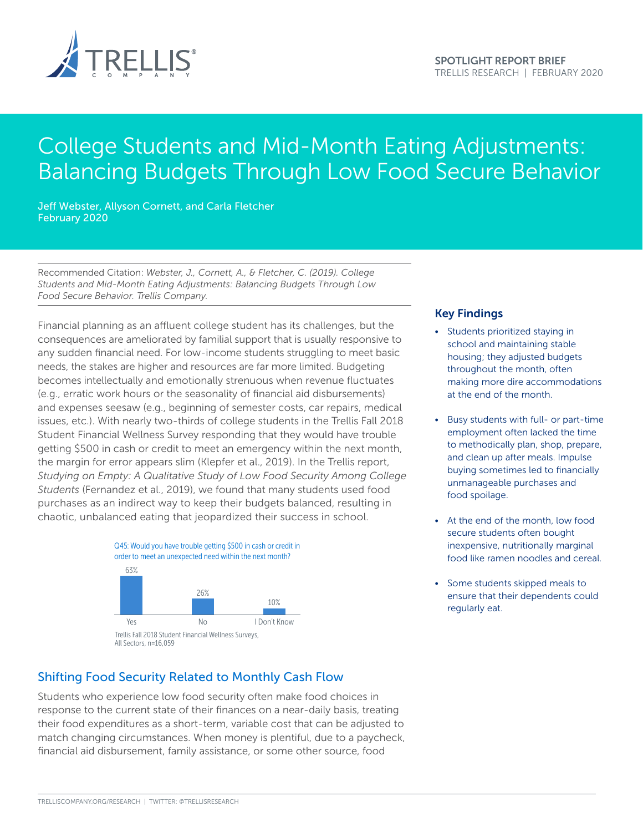

# College Students and Mid-Month Eating Adjustments: Balancing Budgets Through Low Food Secure Behavior

Jeff Webster, Allyson Cornett, and Carla Fletcher February 2020

Recommended Citation: *Webster, J., Cornett, A., & Fletcher, C. (2019). College Students and Mid-Month Eating Adjustments: Balancing Budgets Through Low Food Secure Behavior. Trellis Company.*

Financial planning as an affluent college student has its challenges, but the consequences are ameliorated by familial support that is usually responsive to any sudden financial need. For low-income students struggling to meet basic needs, the stakes are higher and resources are far more limited. Budgeting becomes intellectually and emotionally strenuous when revenue fluctuates (e.g., erratic work hours or the seasonality of financial aid disbursements) and expenses seesaw (e.g., beginning of semester costs, car repairs, medical issues, etc.). With nearly two-thirds of college students in the Trellis Fall 2018 Student Financial Wellness Survey responding that they would have trouble getting \$500 in cash or credit to meet an emergency within the next month, the margin for error appears slim (Klepfer et al., 2019). In the Trellis report, *Studying on Empty: A Qualitative Study of Low Food Security Among College Students* (Fernandez et al., 2019), we found that many students used food purchases as an indirect way to keep their budgets balanced, resulting in chaotic, unbalanced eating that jeopardized their success in school.



### Shifting Food Security Related to Monthly Cash Flow

Students who experience low food security often make food choices in response to the current state of their finances on a near-daily basis, treating their food expenditures as a short-term, variable cost that can be adjusted to match changing circumstances. When money is plentiful, due to a paycheck, financial aid disbursement, family assistance, or some other source, food

#### Key Findings

- Students prioritized staying in school and maintaining stable housing; they adjusted budgets throughout the month, often making more dire accommodations at the end of the month.
- Busy students with full- or part-time employment often lacked the time to methodically plan, shop, prepare, and clean up after meals. Impulse buying sometimes led to financially unmanageable purchases and food spoilage.
- At the end of the month, low food secure students often bought inexpensive, nutritionally marginal food like ramen noodles and cereal.
- Some students skipped meals to ensure that their dependents could regularly eat.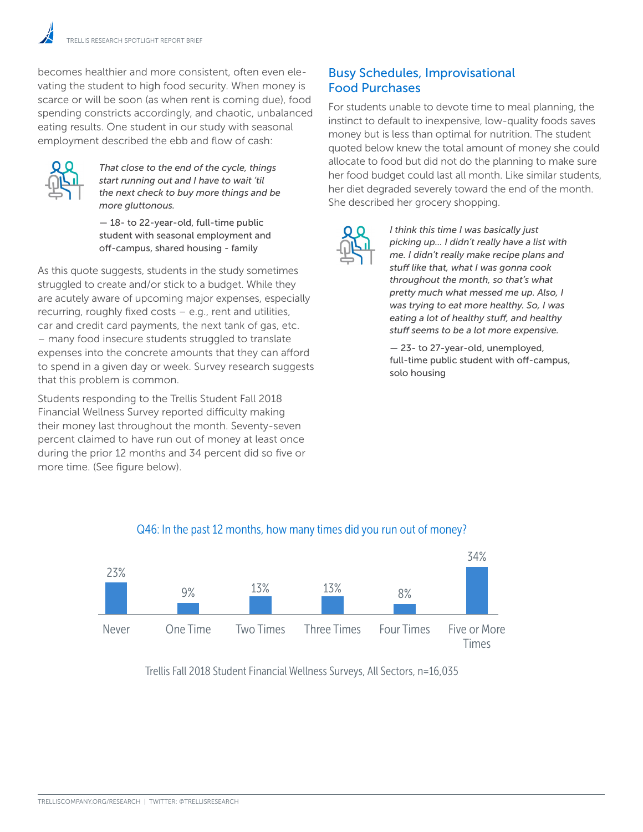becomes healthier and more consistent, often even elevating the student to high food security. When money is scarce or will be soon (as when rent is coming due), food spending constricts accordingly, and chaotic, unbalanced eating results. One student in our study with seasonal employment described the ebb and flow of cash:



*That close to the end of the cycle, things start running out and I have to wait 'til the next check to buy more things and be more gluttonous.* 

— 18- to 22-year-old, full-time public student with seasonal employment and off-campus, shared housing - family

As this quote suggests, students in the study sometimes struggled to create and/or stick to a budget. While they are acutely aware of upcoming major expenses, especially recurring, roughly fixed costs – e.g., rent and utilities, car and credit card payments, the next tank of gas, etc. – many food insecure students struggled to translate expenses into the concrete amounts that they can afford to spend in a given day or week. Survey research suggests that this problem is common. Never One Time they can afford  $\mathbb{Z}$ 

Students responding to the Trellis Student Fall 2018 Financial Wellness Survey reported difficulty making their money last throughout the month. Seventy-seven percent claimed to have run out of money at least once during the prior 12 months and 34 percent did so five or more time. (See figure below).

### Busy Schedules, Improvisational Food Purchases

For students unable to devote time to meal planning, the instinct to default to inexpensive, low-quality foods saves money but is less than optimal for nutrition. The student quoted below knew the total amount of money she could allocate to food but did not do the planning to make sure her food budget could last all month. Like similar students, her diet degraded severely toward the end of the month. She described her grocery shopping.



*I think this time I was basically just picking up... I didn't really have a list with me. I didn't really make recipe plans and stuff like that, what I was gonna cook throughout the month, so that's what pretty much what messed me up. Also, I was trying to eat more healthy. So, I was eating a lot of healthy stuff, and healthy stuff seems to be a lot more expensive.* 

— 23- to 27-year-old, unemployed, full-time public student with off-campus, solo housing



### Q46: In the past 12 months, how many times did you run out of money?

Trellis Fall 2018 Student Financial Wellness Surveys, All Sectors, n=16,035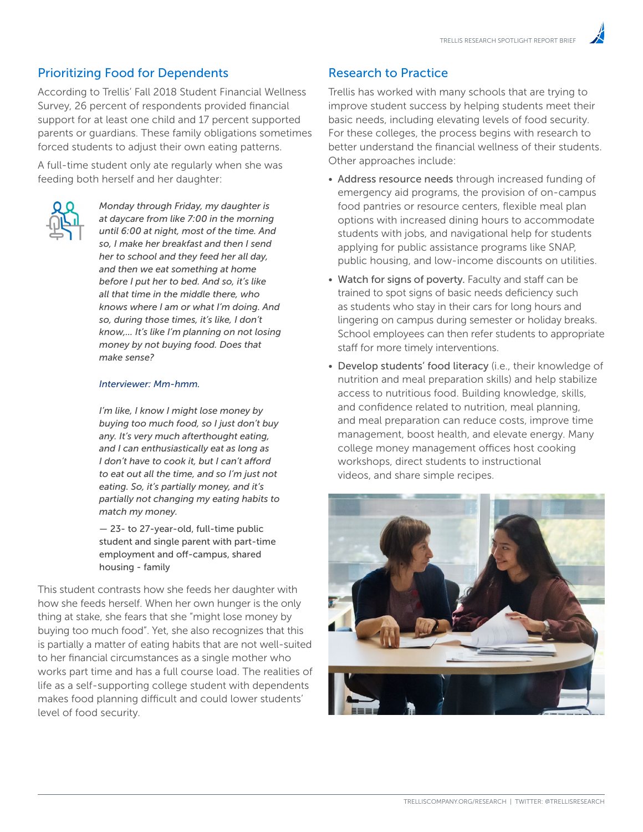### Prioritizing Food for Dependents

According to Trellis' Fall 2018 Student Financial Wellness Survey, 26 percent of respondents provided financial support for at least one child and 17 percent supported parents or guardians. These family obligations sometimes forced students to adjust their own eating patterns.

A full-time student only ate regularly when she was feeding both herself and her daughter:



*Monday through Friday, my daughter is at daycare from like 7:00 in the morning until 6:00 at night, most of the time. And so, I make her breakfast and then I send her to school and they feed her all day, and then we eat something at home before I put her to bed. And so, it's like all that time in the middle there, who knows where I am or what I'm doing. And so, during those times, it's like, I don't know,... It's like I'm planning on not losing money by not buying food. Does that make sense?* 

#### *Interviewer: Mm-hmm.*

*I'm like, I know I might lose money by buying too much food, so I just don't buy any. It's very much afterthought eating, and I can enthusiastically eat as long as I don't have to cook it, but I can't afford to eat out all the time, and so I'm just not eating. So, it's partially money, and it's partially not changing my eating habits to match my money.* 

— 23- to 27-year-old, full-time public student and single parent with part-time employment and off-campus, shared housing - family

This student contrasts how she feeds her daughter with how she feeds herself. When her own hunger is the only thing at stake, she fears that she "might lose money by buying too much food". Yet, she also recognizes that this is partially a matter of eating habits that are not well-suited to her financial circumstances as a single mother who works part time and has a full course load. The realities of life as a self-supporting college student with dependents makes food planning difficult and could lower students' level of food security.

### Research to Practice

Trellis has worked with many schools that are trying to improve student success by helping students meet their basic needs, including elevating levels of food security. For these colleges, the process begins with research to better understand the financial wellness of their students. Other approaches include:

- Address resource needs through increased funding of emergency aid programs, the provision of on-campus food pantries or resource centers, flexible meal plan options with increased dining hours to accommodate students with jobs, and navigational help for students applying for public assistance programs like SNAP, public housing, and low-income discounts on utilities.
- Watch for signs of poverty. Faculty and staff can be trained to spot signs of basic needs deficiency such as students who stay in their cars for long hours and lingering on campus during semester or holiday breaks. School employees can then refer students to appropriate staff for more timely interventions.
- Develop students' food literacy (i.e., their knowledge of nutrition and meal preparation skills) and help stabilize access to nutritious food. Building knowledge, skills, and confidence related to nutrition, meal planning, and meal preparation can reduce costs, improve time management, boost health, and elevate energy. Many college money management offices host cooking workshops, direct students to instructional videos, and share simple recipes.